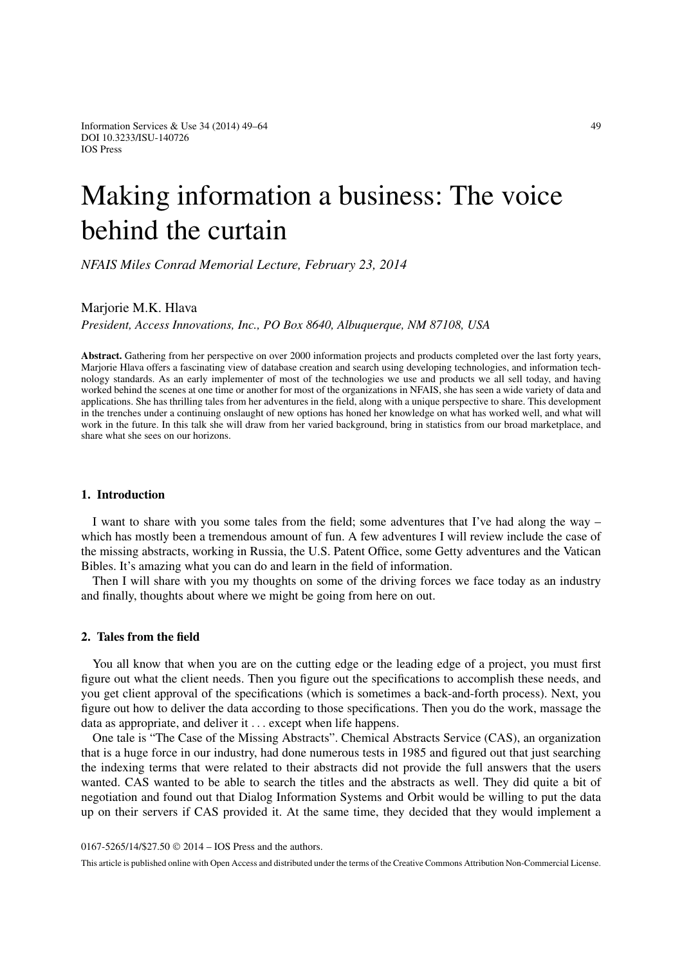Information Services & Use 34 (2014)  $49-64$  49 DOI 10.3233/ISU-140726 IOS Press

# Making information a business: The voice behind the curtain

*NFAIS Miles Conrad Memorial Lecture, February 23, 2014*

# Marjorie M.K. Hlava

*President, Access Innovations, Inc., PO Box 8640, Albuquerque, NM 87108, USA*

**Abstract.** Gathering from her perspective on over 2000 information projects and products completed over the last forty years, Marjorie Hlava offers a fascinating view of database creation and search using developing technologies, and information technology standards. As an early implementer of most of the technologies we use and products we all sell today, and having worked behind the scenes at one time or another for most of the organizations in NFAIS, she has seen a wide variety of data and applications. She has thrilling tales from her adventures in the field, along with a unique perspective to share. This development in the trenches under a continuing onslaught of new options has honed her knowledge on what has worked well, and what will work in the future. In this talk she will draw from her varied background, bring in statistics from our broad marketplace, and share what she sees on our horizons.

## **1. Introduction**

I want to share with you some tales from the field; some adventures that I've had along the way – which has mostly been a tremendous amount of fun. A few adventures I will review include the case of the missing abstracts, working in Russia, the U.S. Patent Office, some Getty adventures and the Vatican Bibles. It's amazing what you can do and learn in the field of information.

Then I will share with you my thoughts on some of the driving forces we face today as an industry and finally, thoughts about where we might be going from here on out.

#### **2. Tales from the field**

You all know that when you are on the cutting edge or the leading edge of a project, you must first figure out what the client needs. Then you figure out the specifications to accomplish these needs, and you get client approval of the specifications (which is sometimes a back-and-forth process). Next, you figure out how to deliver the data according to those specifications. Then you do the work, massage the data as appropriate, and deliver it ... except when life happens.

One tale is "The Case of the Missing Abstracts". Chemical Abstracts Service (CAS), an organization that is a huge force in our industry, had done numerous tests in 1985 and figured out that just searching the indexing terms that were related to their abstracts did not provide the full answers that the users wanted. CAS wanted to be able to search the titles and the abstracts as well. They did quite a bit of negotiation and found out that Dialog Information Systems and Orbit would be willing to put the data up on their servers if CAS provided it. At the same time, they decided that they would implement a

0167-5265/14/\$27.50 © 2014 – IOS Press and the authors.

This article is published online with Open Access and distributed under the terms of the Creative Commons Attribution Non-Commercial License.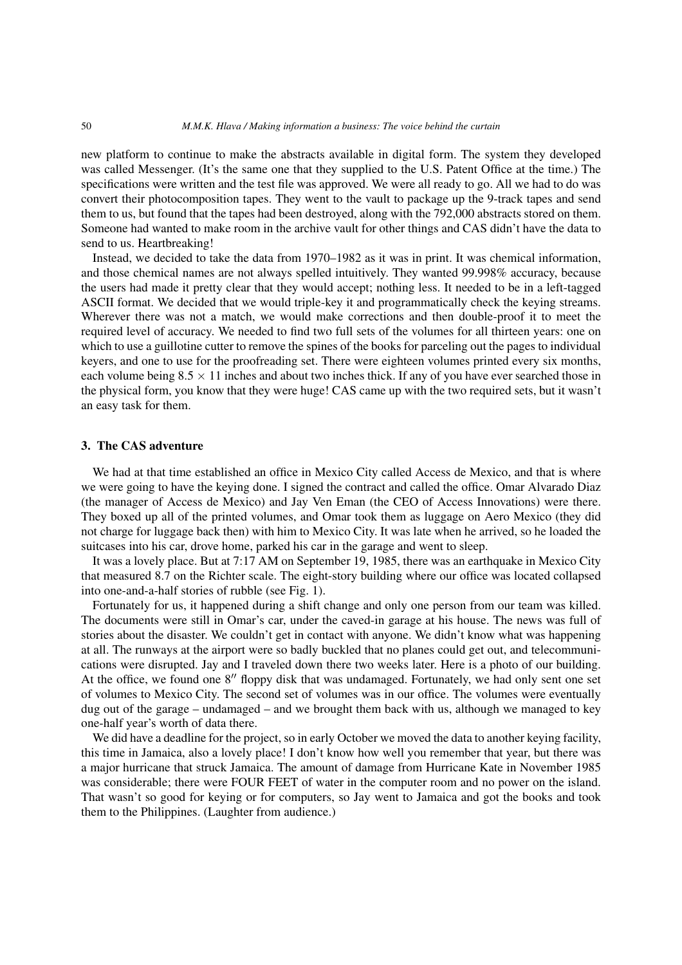new platform to continue to make the abstracts available in digital form. The system they developed was called Messenger. (It's the same one that they supplied to the U.S. Patent Office at the time.) The specifications were written and the test file was approved. We were all ready to go. All we had to do was convert their photocomposition tapes. They went to the vault to package up the 9-track tapes and send them to us, but found that the tapes had been destroyed, along with the 792,000 abstracts stored on them. Someone had wanted to make room in the archive vault for other things and CAS didn't have the data to send to us. Heartbreaking!

Instead, we decided to take the data from 1970–1982 as it was in print. It was chemical information, and those chemical names are not always spelled intuitively. They wanted 99.998% accuracy, because the users had made it pretty clear that they would accept; nothing less. It needed to be in a left-tagged ASCII format. We decided that we would triple-key it and programmatically check the keying streams. Wherever there was not a match, we would make corrections and then double-proof it to meet the required level of accuracy. We needed to find two full sets of the volumes for all thirteen years: one on which to use a guillotine cutter to remove the spines of the books for parceling out the pages to individual keyers, and one to use for the proofreading set. There were eighteen volumes printed every six months, each volume being  $8.5 \times 11$  inches and about two inches thick. If any of you have ever searched those in the physical form, you know that they were huge! CAS came up with the two required sets, but it wasn't an easy task for them.

## **3. The CAS adventure**

We had at that time established an office in Mexico City called Access de Mexico, and that is where we were going to have the keying done. I signed the contract and called the office. Omar Alvarado Diaz (the manager of Access de Mexico) and Jay Ven Eman (the CEO of Access Innovations) were there. They boxed up all of the printed volumes, and Omar took them as luggage on Aero Mexico (they did not charge for luggage back then) with him to Mexico City. It was late when he arrived, so he loaded the suitcases into his car, drove home, parked his car in the garage and went to sleep.

It was a lovely place. But at 7:17 AM on September 19, 1985, there was an earthquake in Mexico City that measured 8.7 on the Richter scale. The eight-story building where our office was located collapsed into one-and-a-half stories of rubble (see Fig. 1).

Fortunately for us, it happened during a shift change and only one person from our team was killed. The documents were still in Omar's car, under the caved-in garage at his house. The news was full of stories about the disaster. We couldn't get in contact with anyone. We didn't know what was happening at all. The runways at the airport were so badly buckled that no planes could get out, and telecommunications were disrupted. Jay and I traveled down there two weeks later. Here is a photo of our building. At the office, we found one 8" floppy disk that was undamaged. Fortunately, we had only sent one set of volumes to Mexico City. The second set of volumes was in our office. The volumes were eventually dug out of the garage – undamaged – and we brought them back with us, although we managed to key one-half year's worth of data there.

We did have a deadline for the project, so in early October we moved the data to another keying facility, this time in Jamaica, also a lovely place! I don't know how well you remember that year, but there was a major hurricane that struck Jamaica. The amount of damage from Hurricane Kate in November 1985 was considerable; there were FOUR FEET of water in the computer room and no power on the island. That wasn't so good for keying or for computers, so Jay went to Jamaica and got the books and took them to the Philippines. (Laughter from audience.)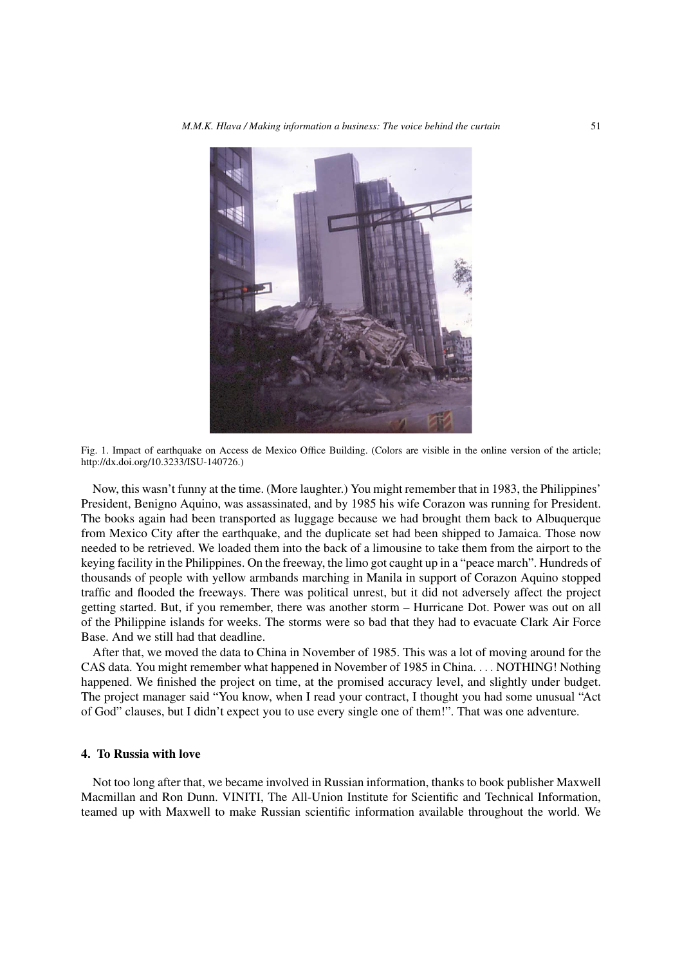

Fig. 1. Impact of earthquake on Access de Mexico Office Building. (Colors are visible in the online version of the article; http://dx.doi.org/10.3233/ISU-140726.)

Now, this wasn't funny at the time. (More laughter.) You might remember that in 1983, the Philippines' President, Benigno Aquino, was assassinated, and by 1985 his wife Corazon was running for President. The books again had been transported as luggage because we had brought them back to Albuquerque from Mexico City after the earthquake, and the duplicate set had been shipped to Jamaica. Those now needed to be retrieved. We loaded them into the back of a limousine to take them from the airport to the keying facility in the Philippines. On the freeway, the limo got caught up in a "peace march". Hundreds of thousands of people with yellow armbands marching in Manila in support of Corazon Aquino stopped traffic and flooded the freeways. There was political unrest, but it did not adversely affect the project getting started. But, if you remember, there was another storm – Hurricane Dot. Power was out on all of the Philippine islands for weeks. The storms were so bad that they had to evacuate Clark Air Force Base. And we still had that deadline.

After that, we moved the data to China in November of 1985. This was a lot of moving around for the CAS data. You might remember what happened in November of 1985 in China. ... NOTHING! Nothing happened. We finished the project on time, at the promised accuracy level, and slightly under budget. The project manager said "You know, when I read your contract, I thought you had some unusual "Act of God" clauses, but I didn't expect you to use every single one of them!". That was one adventure.

## **4. To Russia with love**

Not too long after that, we became involved in Russian information, thanks to book publisher Maxwell Macmillan and Ron Dunn. VINITI, The All-Union Institute for Scientific and Technical Information, teamed up with Maxwell to make Russian scientific information available throughout the world. We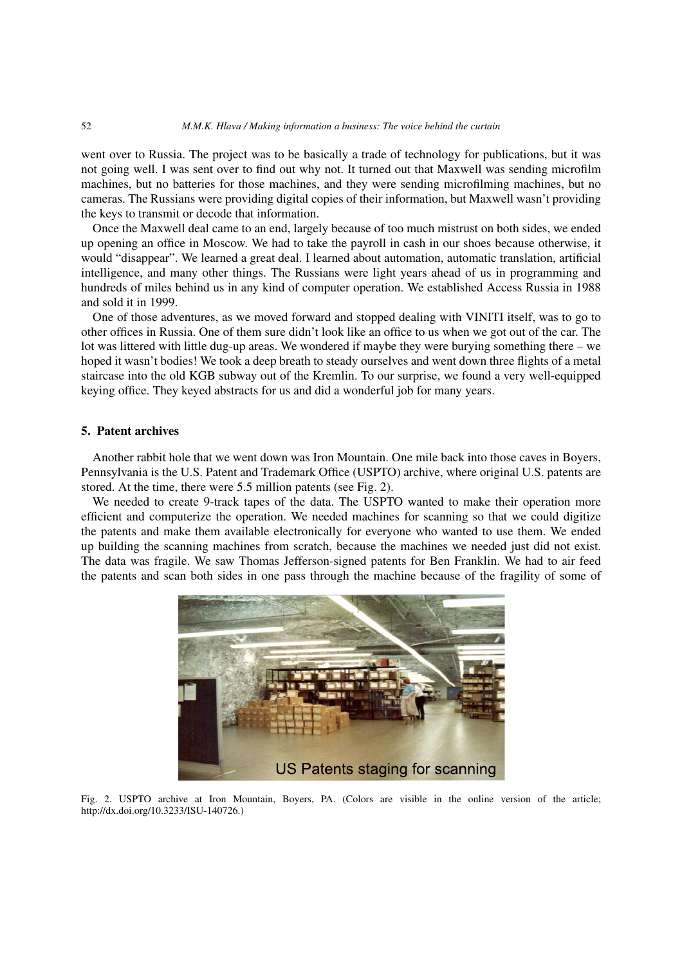went over to Russia. The project was to be basically a trade of technology for publications, but it was not going well. I was sent over to find out why not. It turned out that Maxwell was sending microfilm machines, but no batteries for those machines, and they were sending microfilming machines, but no cameras. The Russians were providing digital copies of their information, but Maxwell wasn't providing the keys to transmit or decode that information.

Once the Maxwell deal came to an end, largely because of too much mistrust on both sides, we ended up opening an office in Moscow. We had to take the payroll in cash in our shoes because otherwise, it would "disappear". We learned a great deal. I learned about automation, automatic translation, artificial intelligence, and many other things. The Russians were light years ahead of us in programming and hundreds of miles behind us in any kind of computer operation. We established Access Russia in 1988 and sold it in 1999.

One of those adventures, as we moved forward and stopped dealing with VINITI itself, was to go to other offices in Russia. One of them sure didn't look like an office to us when we got out of the car. The lot was littered with little dug-up areas. We wondered if maybe they were burying something there – we hoped it wasn't bodies! We took a deep breath to steady ourselves and went down three flights of a metal staircase into the old KGB subway out of the Kremlin. To our surprise, we found a very well-equipped keying office. They keyed abstracts for us and did a wonderful job for many years.

# **5. Patent archives**

Another rabbit hole that we went down was Iron Mountain. One mile back into those caves in Boyers, Pennsylvania is the U.S. Patent and Trademark Office (USPTO) archive, where original U.S. patents are stored. At the time, there were 5.5 million patents (see Fig. 2).

We needed to create 9-track tapes of the data. The USPTO wanted to make their operation more efficient and computerize the operation. We needed machines for scanning so that we could digitize the patents and make them available electronically for everyone who wanted to use them. We ended up building the scanning machines from scratch, because the machines we needed just did not exist. The data was fragile. We saw Thomas Jefferson-signed patents for Ben Franklin. We had to air feed the patents and scan both sides in one pass through the machine because of the fragility of some of



Fig. 2. USPTO archive at Iron Mountain, Boyers, PA. (Colors are visible in the online version of the article; http://dx.doi.org/10.3233/ISU-140726.)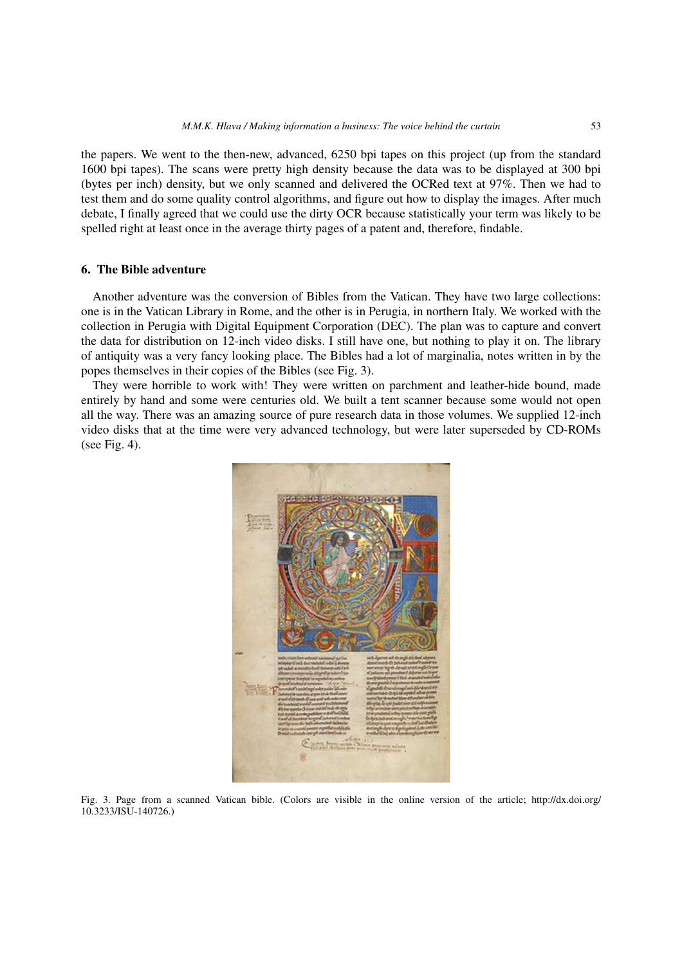the papers. We went to the then-new, advanced, 6250 bpi tapes on this project (up from the standard 1600 bpi tapes). The scans were pretty high density because the data was to be displayed at 300 bpi (bytes per inch) density, but we only scanned and delivered the OCRed text at 97%. Then we had to test them and do some quality control algorithms, and figure out how to display the images. After much debate, I finally agreed that we could use the dirty OCR because statistically your term was likely to be spelled right at least once in the average thirty pages of a patent and, therefore, findable.

# **6. The Bible adventure**

Another adventure was the conversion of Bibles from the Vatican. They have two large collections: one is in the Vatican Library in Rome, and the other is in Perugia, in northern Italy. We worked with the collection in Perugia with Digital Equipment Corporation (DEC). The plan was to capture and convert the data for distribution on 12-inch video disks. I still have one, but nothing to play it on. The library of antiquity was a very fancy looking place. The Bibles had a lot of marginalia, notes written in by the popes themselves in their copies of the Bibles (see Fig. 3).

They were horrible to work with! They were written on parchment and leather-hide bound, made entirely by hand and some were centuries old. We built a tent scanner because some would not open all the way. There was an amazing source of pure research data in those volumes. We supplied 12-inch video disks that at the time were very advanced technology, but were later superseded by CD-ROMs (see Fig. 4).



Fig. 3. Page from a scanned Vatican bible. (Colors are visible in the online version of the article; http://dx.doi.org/ 10.3233/ISU-140726.)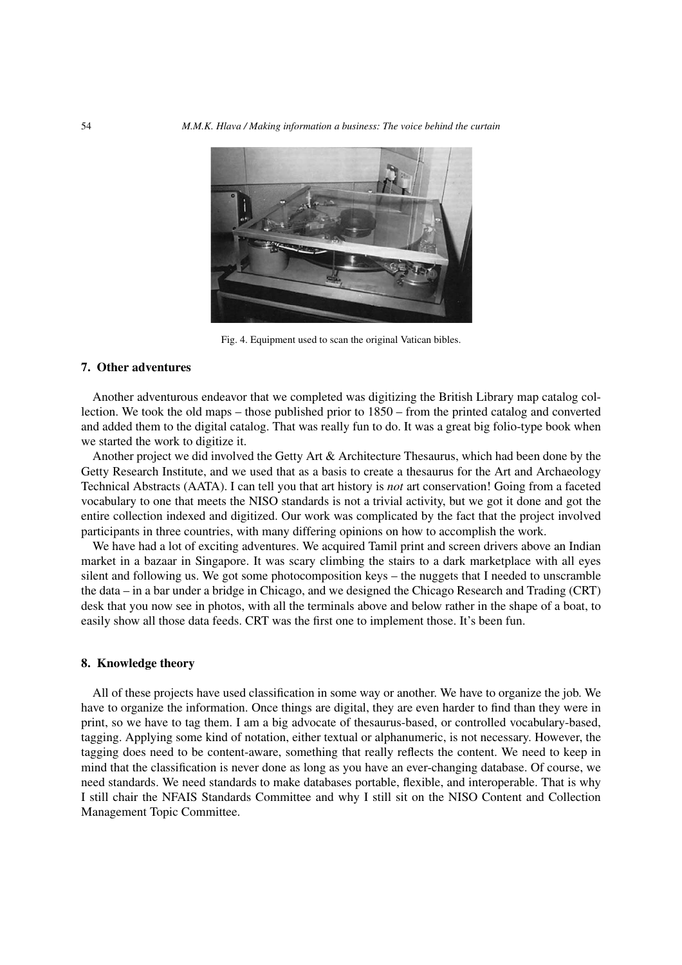

Fig. 4. Equipment used to scan the original Vatican bibles.

## **7. Other adventures**

Another adventurous endeavor that we completed was digitizing the British Library map catalog collection. We took the old maps – those published prior to 1850 – from the printed catalog and converted and added them to the digital catalog. That was really fun to do. It was a great big folio-type book when we started the work to digitize it.

Another project we did involved the Getty Art & Architecture Thesaurus, which had been done by the Getty Research Institute, and we used that as a basis to create a thesaurus for the Art and Archaeology Technical Abstracts (AATA). I can tell you that art history is *not* art conservation! Going from a faceted vocabulary to one that meets the NISO standards is not a trivial activity, but we got it done and got the entire collection indexed and digitized. Our work was complicated by the fact that the project involved participants in three countries, with many differing opinions on how to accomplish the work.

We have had a lot of exciting adventures. We acquired Tamil print and screen drivers above an Indian market in a bazaar in Singapore. It was scary climbing the stairs to a dark marketplace with all eyes silent and following us. We got some photocomposition keys – the nuggets that I needed to unscramble the data – in a bar under a bridge in Chicago, and we designed the Chicago Research and Trading (CRT) desk that you now see in photos, with all the terminals above and below rather in the shape of a boat, to easily show all those data feeds. CRT was the first one to implement those. It's been fun.

## **8. Knowledge theory**

All of these projects have used classification in some way or another. We have to organize the job. We have to organize the information. Once things are digital, they are even harder to find than they were in print, so we have to tag them. I am a big advocate of thesaurus-based, or controlled vocabulary-based, tagging. Applying some kind of notation, either textual or alphanumeric, is not necessary. However, the tagging does need to be content-aware, something that really reflects the content. We need to keep in mind that the classification is never done as long as you have an ever-changing database. Of course, we need standards. We need standards to make databases portable, flexible, and interoperable. That is why I still chair the NFAIS Standards Committee and why I still sit on the NISO Content and Collection Management Topic Committee.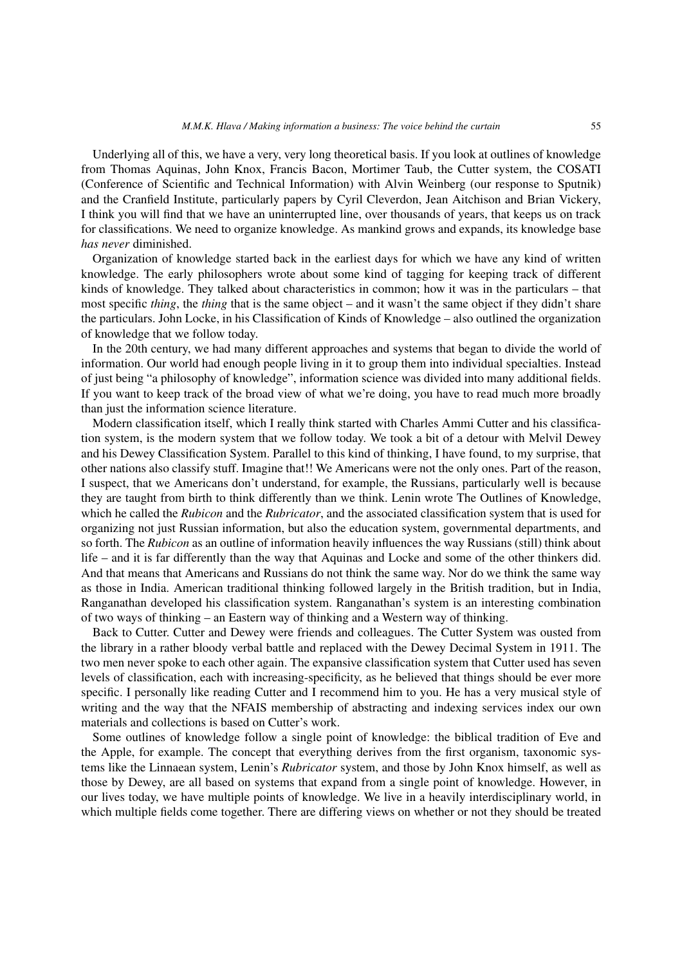Underlying all of this, we have a very, very long theoretical basis. If you look at outlines of knowledge from Thomas Aquinas, John Knox, Francis Bacon, Mortimer Taub, the Cutter system, the COSATI (Conference of Scientific and Technical Information) with Alvin Weinberg (our response to Sputnik) and the Cranfield Institute, particularly papers by Cyril Cleverdon, Jean Aitchison and Brian Vickery, I think you will find that we have an uninterrupted line, over thousands of years, that keeps us on track for classifications. We need to organize knowledge. As mankind grows and expands, its knowledge base *has never* diminished.

Organization of knowledge started back in the earliest days for which we have any kind of written knowledge. The early philosophers wrote about some kind of tagging for keeping track of different kinds of knowledge. They talked about characteristics in common; how it was in the particulars – that most specific *thing*, the *thing* that is the same object – and it wasn't the same object if they didn't share the particulars. John Locke, in his Classification of Kinds of Knowledge – also outlined the organization of knowledge that we follow today.

In the 20th century, we had many different approaches and systems that began to divide the world of information. Our world had enough people living in it to group them into individual specialties. Instead of just being "a philosophy of knowledge", information science was divided into many additional fields. If you want to keep track of the broad view of what we're doing, you have to read much more broadly than just the information science literature.

Modern classification itself, which I really think started with Charles Ammi Cutter and his classification system, is the modern system that we follow today. We took a bit of a detour with Melvil Dewey and his Dewey Classification System. Parallel to this kind of thinking, I have found, to my surprise, that other nations also classify stuff. Imagine that!! We Americans were not the only ones. Part of the reason, I suspect, that we Americans don't understand, for example, the Russians, particularly well is because they are taught from birth to think differently than we think. Lenin wrote The Outlines of Knowledge, which he called the *Rubicon* and the *Rubricator*, and the associated classification system that is used for organizing not just Russian information, but also the education system, governmental departments, and so forth. The *Rubicon* as an outline of information heavily influences the way Russians (still) think about life – and it is far differently than the way that Aquinas and Locke and some of the other thinkers did. And that means that Americans and Russians do not think the same way. Nor do we think the same way as those in India. American traditional thinking followed largely in the British tradition, but in India, Ranganathan developed his classification system. Ranganathan's system is an interesting combination of two ways of thinking – an Eastern way of thinking and a Western way of thinking.

Back to Cutter. Cutter and Dewey were friends and colleagues. The Cutter System was ousted from the library in a rather bloody verbal battle and replaced with the Dewey Decimal System in 1911. The two men never spoke to each other again. The expansive classification system that Cutter used has seven levels of classification, each with increasing-specificity, as he believed that things should be ever more specific. I personally like reading Cutter and I recommend him to you. He has a very musical style of writing and the way that the NFAIS membership of abstracting and indexing services index our own materials and collections is based on Cutter's work.

Some outlines of knowledge follow a single point of knowledge: the biblical tradition of Eve and the Apple, for example. The concept that everything derives from the first organism, taxonomic systems like the Linnaean system, Lenin's *Rubricator* system, and those by John Knox himself, as well as those by Dewey, are all based on systems that expand from a single point of knowledge. However, in our lives today, we have multiple points of knowledge. We live in a heavily interdisciplinary world, in which multiple fields come together. There are differing views on whether or not they should be treated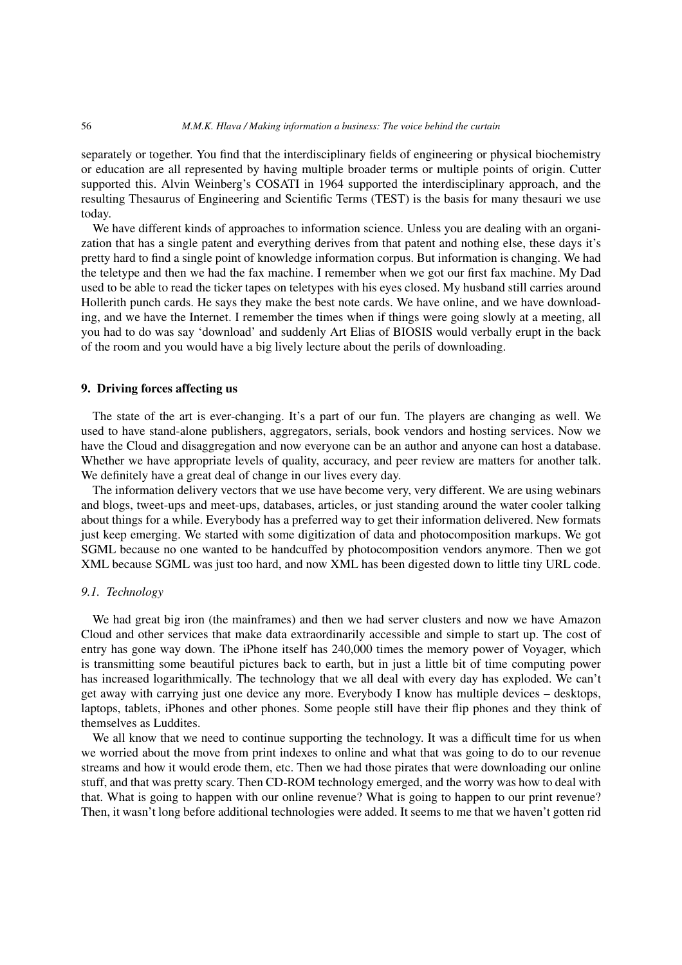## 56 *M.M.K. Hlava / Making information a business: The voice behind the curtain*

separately or together. You find that the interdisciplinary fields of engineering or physical biochemistry or education are all represented by having multiple broader terms or multiple points of origin. Cutter supported this. Alvin Weinberg's COSATI in 1964 supported the interdisciplinary approach, and the resulting Thesaurus of Engineering and Scientific Terms (TEST) is the basis for many thesauri we use today.

We have different kinds of approaches to information science. Unless you are dealing with an organization that has a single patent and everything derives from that patent and nothing else, these days it's pretty hard to find a single point of knowledge information corpus. But information is changing. We had the teletype and then we had the fax machine. I remember when we got our first fax machine. My Dad used to be able to read the ticker tapes on teletypes with his eyes closed. My husband still carries around Hollerith punch cards. He says they make the best note cards. We have online, and we have downloading, and we have the Internet. I remember the times when if things were going slowly at a meeting, all you had to do was say 'download' and suddenly Art Elias of BIOSIS would verbally erupt in the back of the room and you would have a big lively lecture about the perils of downloading.

## **9. Driving forces affecting us**

The state of the art is ever-changing. It's a part of our fun. The players are changing as well. We used to have stand-alone publishers, aggregators, serials, book vendors and hosting services. Now we have the Cloud and disaggregation and now everyone can be an author and anyone can host a database. Whether we have appropriate levels of quality, accuracy, and peer review are matters for another talk. We definitely have a great deal of change in our lives every day.

The information delivery vectors that we use have become very, very different. We are using webinars and blogs, tweet-ups and meet-ups, databases, articles, or just standing around the water cooler talking about things for a while. Everybody has a preferred way to get their information delivered. New formats just keep emerging. We started with some digitization of data and photocomposition markups. We got SGML because no one wanted to be handcuffed by photocomposition vendors anymore. Then we got XML because SGML was just too hard, and now XML has been digested down to little tiny URL code.

## *9.1. Technology*

We had great big iron (the mainframes) and then we had server clusters and now we have Amazon Cloud and other services that make data extraordinarily accessible and simple to start up. The cost of entry has gone way down. The iPhone itself has 240,000 times the memory power of Voyager, which is transmitting some beautiful pictures back to earth, but in just a little bit of time computing power has increased logarithmically. The technology that we all deal with every day has exploded. We can't get away with carrying just one device any more. Everybody I know has multiple devices – desktops, laptops, tablets, iPhones and other phones. Some people still have their flip phones and they think of themselves as Luddites.

We all know that we need to continue supporting the technology. It was a difficult time for us when we worried about the move from print indexes to online and what that was going to do to our revenue streams and how it would erode them, etc. Then we had those pirates that were downloading our online stuff, and that was pretty scary. Then CD-ROM technology emerged, and the worry was how to deal with that. What is going to happen with our online revenue? What is going to happen to our print revenue? Then, it wasn't long before additional technologies were added. It seems to me that we haven't gotten rid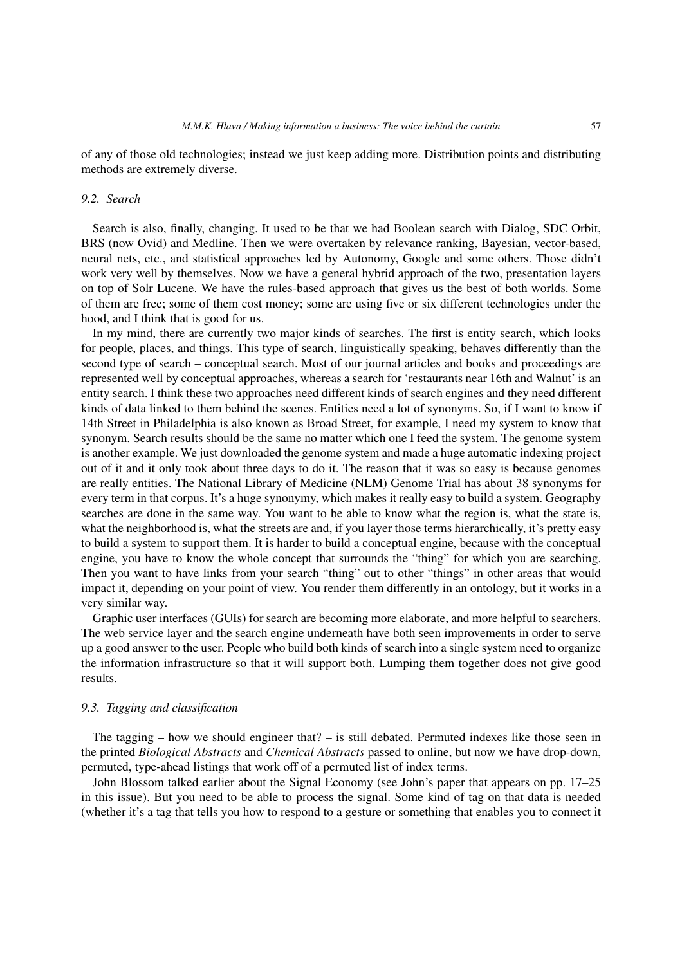of any of those old technologies; instead we just keep adding more. Distribution points and distributing methods are extremely diverse.

# *9.2. Search*

Search is also, finally, changing. It used to be that we had Boolean search with Dialog, SDC Orbit, BRS (now Ovid) and Medline. Then we were overtaken by relevance ranking, Bayesian, vector-based, neural nets, etc., and statistical approaches led by Autonomy, Google and some others. Those didn't work very well by themselves. Now we have a general hybrid approach of the two, presentation layers on top of Solr Lucene. We have the rules-based approach that gives us the best of both worlds. Some of them are free; some of them cost money; some are using five or six different technologies under the hood, and I think that is good for us.

In my mind, there are currently two major kinds of searches. The first is entity search, which looks for people, places, and things. This type of search, linguistically speaking, behaves differently than the second type of search – conceptual search. Most of our journal articles and books and proceedings are represented well by conceptual approaches, whereas a search for 'restaurants near 16th and Walnut' is an entity search. I think these two approaches need different kinds of search engines and they need different kinds of data linked to them behind the scenes. Entities need a lot of synonyms. So, if I want to know if 14th Street in Philadelphia is also known as Broad Street, for example, I need my system to know that synonym. Search results should be the same no matter which one I feed the system. The genome system is another example. We just downloaded the genome system and made a huge automatic indexing project out of it and it only took about three days to do it. The reason that it was so easy is because genomes are really entities. The National Library of Medicine (NLM) Genome Trial has about 38 synonyms for every term in that corpus. It's a huge synonymy, which makes it really easy to build a system. Geography searches are done in the same way. You want to be able to know what the region is, what the state is, what the neighborhood is, what the streets are and, if you layer those terms hierarchically, it's pretty easy to build a system to support them. It is harder to build a conceptual engine, because with the conceptual engine, you have to know the whole concept that surrounds the "thing" for which you are searching. Then you want to have links from your search "thing" out to other "things" in other areas that would impact it, depending on your point of view. You render them differently in an ontology, but it works in a very similar way.

Graphic user interfaces (GUIs) for search are becoming more elaborate, and more helpful to searchers. The web service layer and the search engine underneath have both seen improvements in order to serve up a good answer to the user. People who build both kinds of search into a single system need to organize the information infrastructure so that it will support both. Lumping them together does not give good results.

## *9.3. Tagging and classification*

The tagging – how we should engineer that? – is still debated. Permuted indexes like those seen in the printed *Biological Abstracts* and *Chemical Abstracts* passed to online, but now we have drop-down, permuted, type-ahead listings that work off of a permuted list of index terms.

John Blossom talked earlier about the Signal Economy (see John's paper that appears on pp. 17–25 in this issue). But you need to be able to process the signal. Some kind of tag on that data is needed (whether it's a tag that tells you how to respond to a gesture or something that enables you to connect it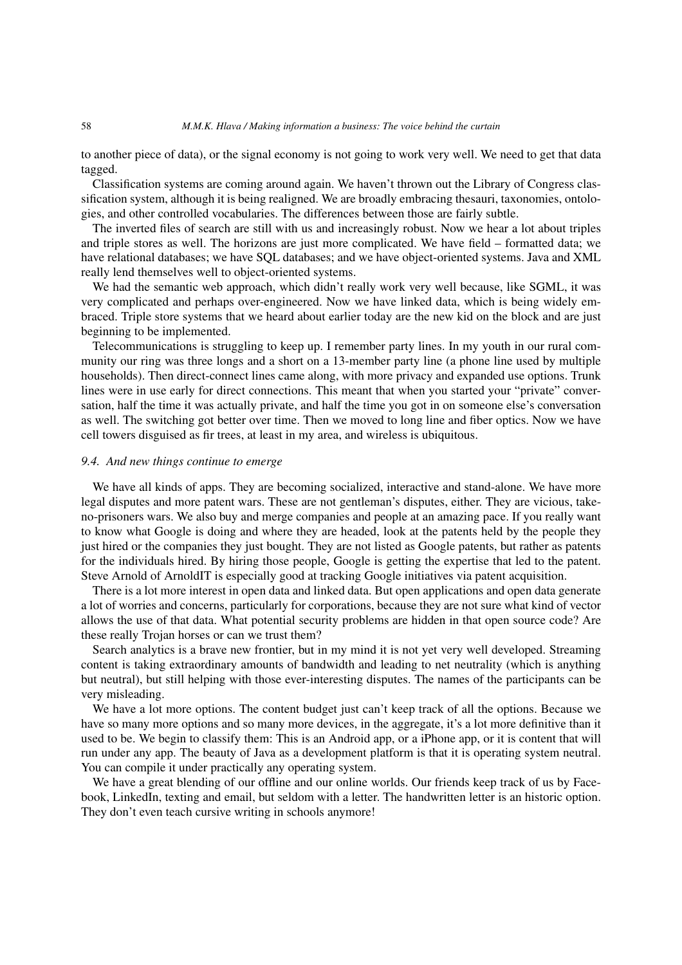#### 58 *M.M.K. Hlava / Making information a business: The voice behind the curtain*

to another piece of data), or the signal economy is not going to work very well. We need to get that data tagged.

Classification systems are coming around again. We haven't thrown out the Library of Congress classification system, although it is being realigned. We are broadly embracing thesauri, taxonomies, ontologies, and other controlled vocabularies. The differences between those are fairly subtle.

The inverted files of search are still with us and increasingly robust. Now we hear a lot about triples and triple stores as well. The horizons are just more complicated. We have field – formatted data; we have relational databases; we have SQL databases; and we have object-oriented systems. Java and XML really lend themselves well to object-oriented systems.

We had the semantic web approach, which didn't really work very well because, like SGML, it was very complicated and perhaps over-engineered. Now we have linked data, which is being widely embraced. Triple store systems that we heard about earlier today are the new kid on the block and are just beginning to be implemented.

Telecommunications is struggling to keep up. I remember party lines. In my youth in our rural community our ring was three longs and a short on a 13-member party line (a phone line used by multiple households). Then direct-connect lines came along, with more privacy and expanded use options. Trunk lines were in use early for direct connections. This meant that when you started your "private" conversation, half the time it was actually private, and half the time you got in on someone else's conversation as well. The switching got better over time. Then we moved to long line and fiber optics. Now we have cell towers disguised as fir trees, at least in my area, and wireless is ubiquitous.

## *9.4. And new things continue to emerge*

We have all kinds of apps. They are becoming socialized, interactive and stand-alone. We have more legal disputes and more patent wars. These are not gentleman's disputes, either. They are vicious, takeno-prisoners wars. We also buy and merge companies and people at an amazing pace. If you really want to know what Google is doing and where they are headed, look at the patents held by the people they just hired or the companies they just bought. They are not listed as Google patents, but rather as patents for the individuals hired. By hiring those people, Google is getting the expertise that led to the patent. Steve Arnold of ArnoldIT is especially good at tracking Google initiatives via patent acquisition.

There is a lot more interest in open data and linked data. But open applications and open data generate a lot of worries and concerns, particularly for corporations, because they are not sure what kind of vector allows the use of that data. What potential security problems are hidden in that open source code? Are these really Trojan horses or can we trust them?

Search analytics is a brave new frontier, but in my mind it is not yet very well developed. Streaming content is taking extraordinary amounts of bandwidth and leading to net neutrality (which is anything but neutral), but still helping with those ever-interesting disputes. The names of the participants can be very misleading.

We have a lot more options. The content budget just can't keep track of all the options. Because we have so many more options and so many more devices, in the aggregate, it's a lot more definitive than it used to be. We begin to classify them: This is an Android app, or a iPhone app, or it is content that will run under any app. The beauty of Java as a development platform is that it is operating system neutral. You can compile it under practically any operating system.

We have a great blending of our offline and our online worlds. Our friends keep track of us by Facebook, LinkedIn, texting and email, but seldom with a letter. The handwritten letter is an historic option. They don't even teach cursive writing in schools anymore!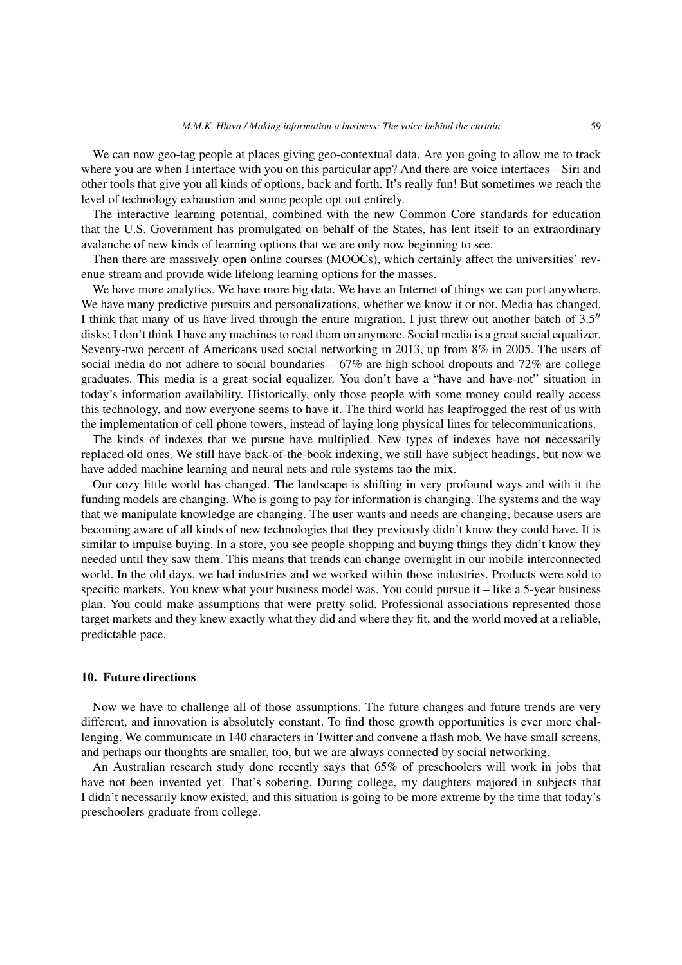We can now geo-tag people at places giving geo-contextual data. Are you going to allow me to track where you are when I interface with you on this particular app? And there are voice interfaces – Siri and other tools that give you all kinds of options, back and forth. It's really fun! But sometimes we reach the level of technology exhaustion and some people opt out entirely.

The interactive learning potential, combined with the new Common Core standards for education that the U.S. Government has promulgated on behalf of the States, has lent itself to an extraordinary avalanche of new kinds of learning options that we are only now beginning to see.

Then there are massively open online courses (MOOCs), which certainly affect the universities' revenue stream and provide wide lifelong learning options for the masses.

We have more analytics. We have more big data. We have an Internet of things we can port anywhere. We have many predictive pursuits and personalizations, whether we know it or not. Media has changed. I think that many of us have lived through the entire migration. I just threw out another batch of 3.5" disks; I don't think I have any machines to read them on anymore. Social media is a great social equalizer. Seventy-two percent of Americans used social networking in 2013, up from 8% in 2005. The users of social media do not adhere to social boundaries – 67% are high school dropouts and 72% are college graduates. This media is a great social equalizer. You don't have a "have and have-not" situation in today's information availability. Historically, only those people with some money could really access this technology, and now everyone seems to have it. The third world has leapfrogged the rest of us with the implementation of cell phone towers, instead of laying long physical lines for telecommunications.

The kinds of indexes that we pursue have multiplied. New types of indexes have not necessarily replaced old ones. We still have back-of-the-book indexing, we still have subject headings, but now we have added machine learning and neural nets and rule systems tao the mix.

Our cozy little world has changed. The landscape is shifting in very profound ways and with it the funding models are changing. Who is going to pay for information is changing. The systems and the way that we manipulate knowledge are changing. The user wants and needs are changing, because users are becoming aware of all kinds of new technologies that they previously didn't know they could have. It is similar to impulse buying. In a store, you see people shopping and buying things they didn't know they needed until they saw them. This means that trends can change overnight in our mobile interconnected world. In the old days, we had industries and we worked within those industries. Products were sold to specific markets. You knew what your business model was. You could pursue it – like a 5-year business plan. You could make assumptions that were pretty solid. Professional associations represented those target markets and they knew exactly what they did and where they fit, and the world moved at a reliable, predictable pace.

## **10. Future directions**

Now we have to challenge all of those assumptions. The future changes and future trends are very different, and innovation is absolutely constant. To find those growth opportunities is ever more challenging. We communicate in 140 characters in Twitter and convene a flash mob. We have small screens, and perhaps our thoughts are smaller, too, but we are always connected by social networking.

An Australian research study done recently says that 65% of preschoolers will work in jobs that have not been invented yet. That's sobering. During college, my daughters majored in subjects that I didn't necessarily know existed, and this situation is going to be more extreme by the time that today's preschoolers graduate from college.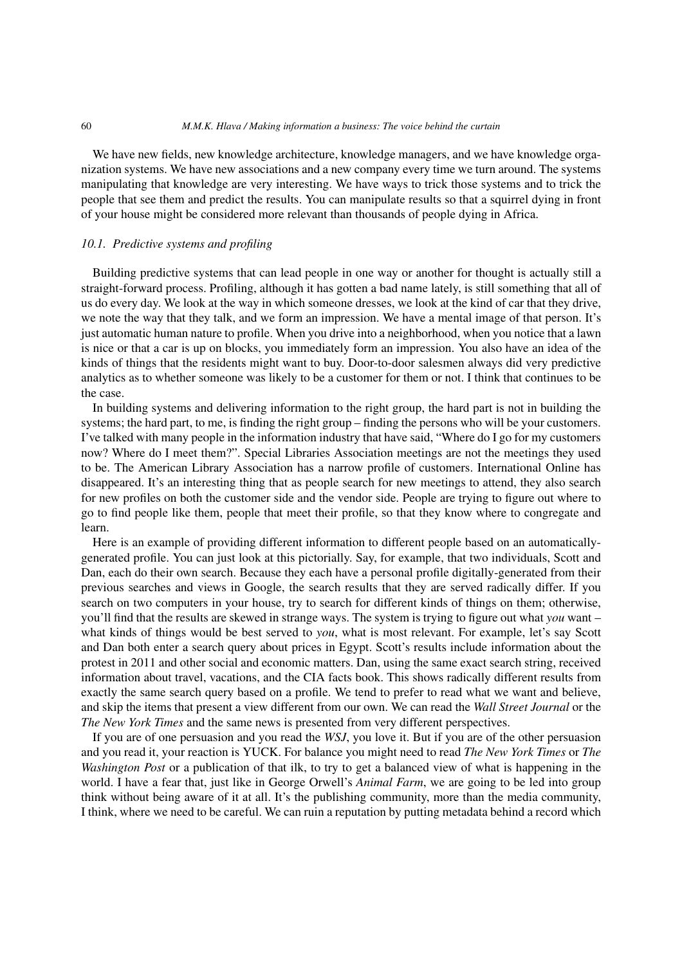#### 60 *M.M.K. Hlava / Making information a business: The voice behind the curtain*

We have new fields, new knowledge architecture, knowledge managers, and we have knowledge organization systems. We have new associations and a new company every time we turn around. The systems manipulating that knowledge are very interesting. We have ways to trick those systems and to trick the people that see them and predict the results. You can manipulate results so that a squirrel dying in front of your house might be considered more relevant than thousands of people dying in Africa.

# *10.1. Predictive systems and profiling*

Building predictive systems that can lead people in one way or another for thought is actually still a straight-forward process. Profiling, although it has gotten a bad name lately, is still something that all of us do every day. We look at the way in which someone dresses, we look at the kind of car that they drive, we note the way that they talk, and we form an impression. We have a mental image of that person. It's just automatic human nature to profile. When you drive into a neighborhood, when you notice that a lawn is nice or that a car is up on blocks, you immediately form an impression. You also have an idea of the kinds of things that the residents might want to buy. Door-to-door salesmen always did very predictive analytics as to whether someone was likely to be a customer for them or not. I think that continues to be the case.

In building systems and delivering information to the right group, the hard part is not in building the systems; the hard part, to me, is finding the right group – finding the persons who will be your customers. I've talked with many people in the information industry that have said, "Where do I go for my customers now? Where do I meet them?". Special Libraries Association meetings are not the meetings they used to be. The American Library Association has a narrow profile of customers. International Online has disappeared. It's an interesting thing that as people search for new meetings to attend, they also search for new profiles on both the customer side and the vendor side. People are trying to figure out where to go to find people like them, people that meet their profile, so that they know where to congregate and learn.

Here is an example of providing different information to different people based on an automaticallygenerated profile. You can just look at this pictorially. Say, for example, that two individuals, Scott and Dan, each do their own search. Because they each have a personal profile digitally-generated from their previous searches and views in Google, the search results that they are served radically differ. If you search on two computers in your house, try to search for different kinds of things on them; otherwise, you'll find that the results are skewed in strange ways. The system is trying to figure out what *you* want – what kinds of things would be best served to *you*, what is most relevant. For example, let's say Scott and Dan both enter a search query about prices in Egypt. Scott's results include information about the protest in 2011 and other social and economic matters. Dan, using the same exact search string, received information about travel, vacations, and the CIA facts book. This shows radically different results from exactly the same search query based on a profile. We tend to prefer to read what we want and believe, and skip the items that present a view different from our own. We can read the *Wall Street Journal* or the *The New York Times* and the same news is presented from very different perspectives.

If you are of one persuasion and you read the *WSJ*, you love it. But if you are of the other persuasion and you read it, your reaction is YUCK. For balance you might need to read *The New York Times* or *The Washington Post* or a publication of that ilk, to try to get a balanced view of what is happening in the world. I have a fear that, just like in George Orwell's *Animal Farm*, we are going to be led into group think without being aware of it at all. It's the publishing community, more than the media community, I think, where we need to be careful. We can ruin a reputation by putting metadata behind a record which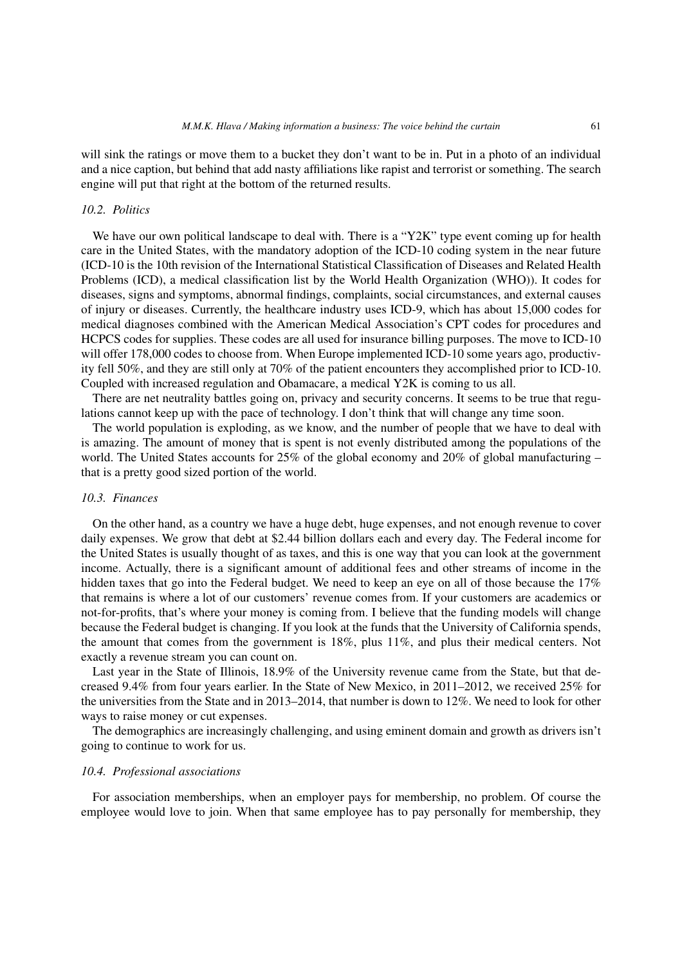will sink the ratings or move them to a bucket they don't want to be in. Put in a photo of an individual and a nice caption, but behind that add nasty affiliations like rapist and terrorist or something. The search engine will put that right at the bottom of the returned results.

## *10.2. Politics*

We have our own political landscape to deal with. There is a "Y2K" type event coming up for health care in the United States, with the mandatory adoption of the ICD-10 coding system in the near future (ICD-10 is the 10th revision of the International Statistical Classification of Diseases and Related Health Problems (ICD), a medical classification list by the World Health Organization (WHO)). It codes for diseases, signs and symptoms, abnormal findings, complaints, social circumstances, and external causes of injury or diseases. Currently, the healthcare industry uses ICD-9, which has about 15,000 codes for medical diagnoses combined with the American Medical Association's CPT codes for procedures and HCPCS codes for supplies. These codes are all used for insurance billing purposes. The move to ICD-10 will offer 178,000 codes to choose from. When Europe implemented ICD-10 some years ago, productivity fell 50%, and they are still only at 70% of the patient encounters they accomplished prior to ICD-10. Coupled with increased regulation and Obamacare, a medical Y2K is coming to us all.

There are net neutrality battles going on, privacy and security concerns. It seems to be true that regulations cannot keep up with the pace of technology. I don't think that will change any time soon.

The world population is exploding, as we know, and the number of people that we have to deal with is amazing. The amount of money that is spent is not evenly distributed among the populations of the world. The United States accounts for 25% of the global economy and 20% of global manufacturing – that is a pretty good sized portion of the world.

## *10.3. Finances*

On the other hand, as a country we have a huge debt, huge expenses, and not enough revenue to cover daily expenses. We grow that debt at \$2.44 billion dollars each and every day. The Federal income for the United States is usually thought of as taxes, and this is one way that you can look at the government income. Actually, there is a significant amount of additional fees and other streams of income in the hidden taxes that go into the Federal budget. We need to keep an eye on all of those because the 17% that remains is where a lot of our customers' revenue comes from. If your customers are academics or not-for-profits, that's where your money is coming from. I believe that the funding models will change because the Federal budget is changing. If you look at the funds that the University of California spends, the amount that comes from the government is 18%, plus 11%, and plus their medical centers. Not exactly a revenue stream you can count on.

Last year in the State of Illinois, 18.9% of the University revenue came from the State, but that decreased 9.4% from four years earlier. In the State of New Mexico, in 2011–2012, we received 25% for the universities from the State and in 2013–2014, that number is down to 12%. We need to look for other ways to raise money or cut expenses.

The demographics are increasingly challenging, and using eminent domain and growth as drivers isn't going to continue to work for us.

## *10.4. Professional associations*

For association memberships, when an employer pays for membership, no problem. Of course the employee would love to join. When that same employee has to pay personally for membership, they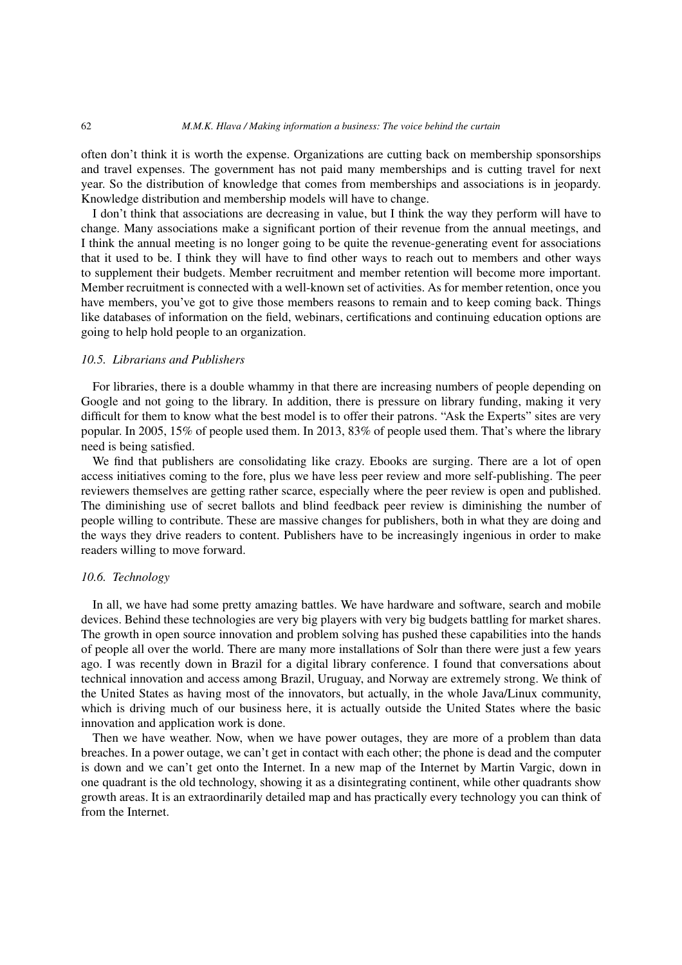often don't think it is worth the expense. Organizations are cutting back on membership sponsorships and travel expenses. The government has not paid many memberships and is cutting travel for next year. So the distribution of knowledge that comes from memberships and associations is in jeopardy. Knowledge distribution and membership models will have to change.

I don't think that associations are decreasing in value, but I think the way they perform will have to change. Many associations make a significant portion of their revenue from the annual meetings, and I think the annual meeting is no longer going to be quite the revenue-generating event for associations that it used to be. I think they will have to find other ways to reach out to members and other ways to supplement their budgets. Member recruitment and member retention will become more important. Member recruitment is connected with a well-known set of activities. As for member retention, once you have members, you've got to give those members reasons to remain and to keep coming back. Things like databases of information on the field, webinars, certifications and continuing education options are going to help hold people to an organization.

## *10.5. Librarians and Publishers*

For libraries, there is a double whammy in that there are increasing numbers of people depending on Google and not going to the library. In addition, there is pressure on library funding, making it very difficult for them to know what the best model is to offer their patrons. "Ask the Experts" sites are very popular. In 2005, 15% of people used them. In 2013, 83% of people used them. That's where the library need is being satisfied.

We find that publishers are consolidating like crazy. Ebooks are surging. There are a lot of open access initiatives coming to the fore, plus we have less peer review and more self-publishing. The peer reviewers themselves are getting rather scarce, especially where the peer review is open and published. The diminishing use of secret ballots and blind feedback peer review is diminishing the number of people willing to contribute. These are massive changes for publishers, both in what they are doing and the ways they drive readers to content. Publishers have to be increasingly ingenious in order to make readers willing to move forward.

## *10.6. Technology*

In all, we have had some pretty amazing battles. We have hardware and software, search and mobile devices. Behind these technologies are very big players with very big budgets battling for market shares. The growth in open source innovation and problem solving has pushed these capabilities into the hands of people all over the world. There are many more installations of Solr than there were just a few years ago. I was recently down in Brazil for a digital library conference. I found that conversations about technical innovation and access among Brazil, Uruguay, and Norway are extremely strong. We think of the United States as having most of the innovators, but actually, in the whole Java/Linux community, which is driving much of our business here, it is actually outside the United States where the basic innovation and application work is done.

Then we have weather. Now, when we have power outages, they are more of a problem than data breaches. In a power outage, we can't get in contact with each other; the phone is dead and the computer is down and we can't get onto the Internet. In a new map of the Internet by Martin Vargic, down in one quadrant is the old technology, showing it as a disintegrating continent, while other quadrants show growth areas. It is an extraordinarily detailed map and has practically every technology you can think of from the Internet.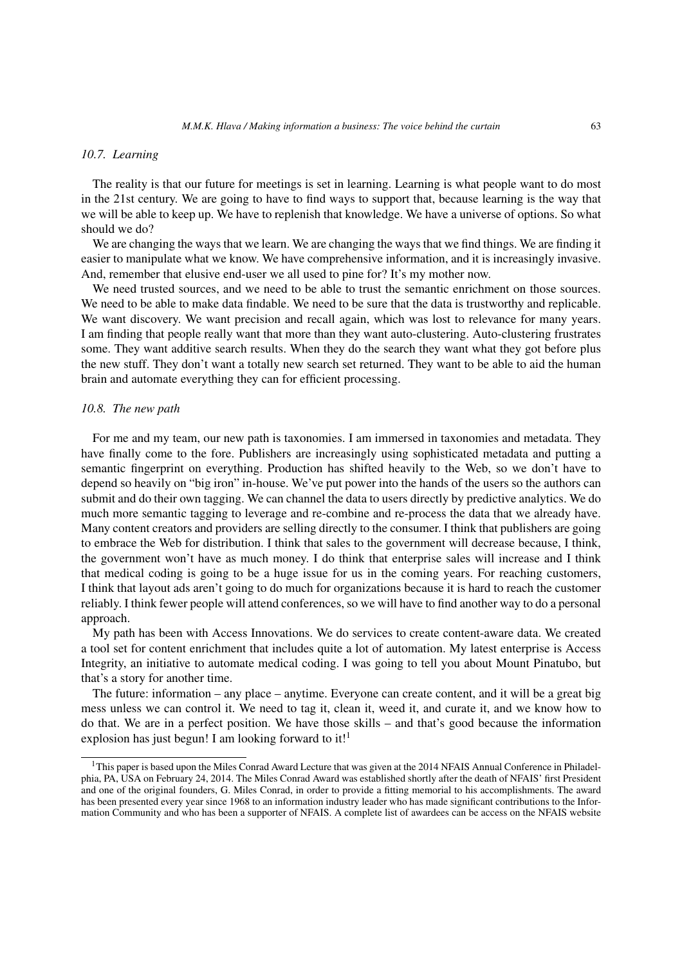### *10.7. Learning*

The reality is that our future for meetings is set in learning. Learning is what people want to do most in the 21st century. We are going to have to find ways to support that, because learning is the way that we will be able to keep up. We have to replenish that knowledge. We have a universe of options. So what should we do?

We are changing the ways that we learn. We are changing the ways that we find things. We are finding it easier to manipulate what we know. We have comprehensive information, and it is increasingly invasive. And, remember that elusive end-user we all used to pine for? It's my mother now.

We need trusted sources, and we need to be able to trust the semantic enrichment on those sources. We need to be able to make data findable. We need to be sure that the data is trustworthy and replicable. We want discovery. We want precision and recall again, which was lost to relevance for many years. I am finding that people really want that more than they want auto-clustering. Auto-clustering frustrates some. They want additive search results. When they do the search they want what they got before plus the new stuff. They don't want a totally new search set returned. They want to be able to aid the human brain and automate everything they can for efficient processing.

## *10.8. The new path*

For me and my team, our new path is taxonomies. I am immersed in taxonomies and metadata. They have finally come to the fore. Publishers are increasingly using sophisticated metadata and putting a semantic fingerprint on everything. Production has shifted heavily to the Web, so we don't have to depend so heavily on "big iron" in-house. We've put power into the hands of the users so the authors can submit and do their own tagging. We can channel the data to users directly by predictive analytics. We do much more semantic tagging to leverage and re-combine and re-process the data that we already have. Many content creators and providers are selling directly to the consumer. I think that publishers are going to embrace the Web for distribution. I think that sales to the government will decrease because, I think, the government won't have as much money. I do think that enterprise sales will increase and I think that medical coding is going to be a huge issue for us in the coming years. For reaching customers, I think that layout ads aren't going to do much for organizations because it is hard to reach the customer reliably. I think fewer people will attend conferences, so we will have to find another way to do a personal approach.

My path has been with Access Innovations. We do services to create content-aware data. We created a tool set for content enrichment that includes quite a lot of automation. My latest enterprise is Access Integrity, an initiative to automate medical coding. I was going to tell you about Mount Pinatubo, but that's a story for another time.

The future: information – any place – anytime. Everyone can create content, and it will be a great big mess unless we can control it. We need to tag it, clean it, weed it, and curate it, and we know how to do that. We are in a perfect position. We have those skills – and that's good because the information explosion has just begun! I am looking forward to it!<sup>1</sup>

 $1$ This paper is based upon the Miles Conrad Award Lecture that was given at the 2014 NFAIS Annual Conference in Philadelphia, PA, USA on February 24, 2014. The Miles Conrad Award was established shortly after the death of NFAIS' first President and one of the original founders, G. Miles Conrad, in order to provide a fitting memorial to his accomplishments. The award has been presented every year since 1968 to an information industry leader who has made significant contributions to the Information Community and who has been a supporter of NFAIS. A complete list of awardees can be access on the NFAIS website